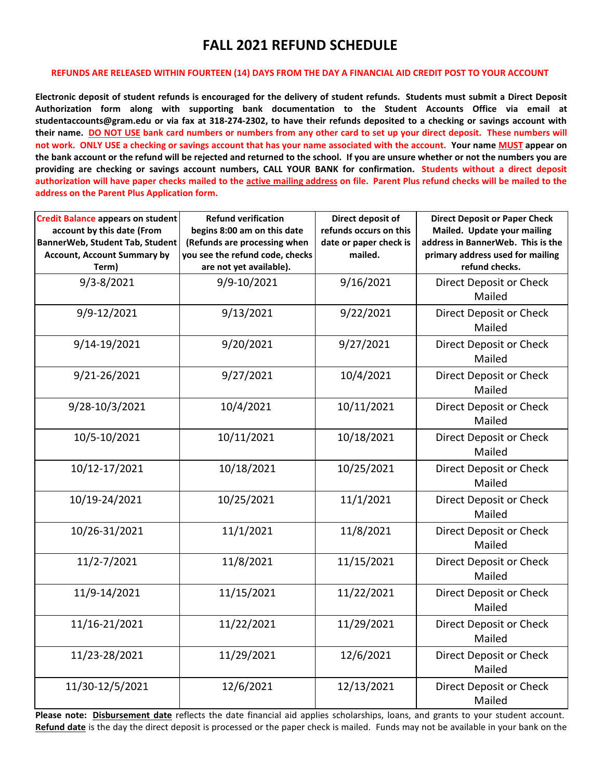## **FALL 2021 REFUND SCHEDULE**

## **REFUNDS ARE RELEASED WITHIN FOURTEEN (14) DAYS FROM THE DAY A FINANCIAL AID CREDIT POST TO YOUR ACCOUNT**

**Electronic deposit of student refunds is encouraged for the delivery of student refunds. Students must submit a Direct Deposit Authorization form along with supporting bank documentation to the Student Accounts Office via email at studentaccounts@gram.edu or via fax at 318-274-2302, to have their refunds deposited to a checking or savings account with their name. DO NOT USE bank card numbers or numbers from any other card to set up your direct deposit. These numbers will not work. ONLY USE a checking or savings account that has your name associated with the account. Your name MUST appear on the bank account or the refund will be rejected and returned to the school. If you are unsure whether or not the numbers you are providing are checking or savings account numbers, CALL YOUR BANK for confirmation. Students without a direct deposit authorization will have paper checks mailed to the active mailing address on file. Parent Plus refund checks will be mailed to the address on the Parent Plus Application form.**

| <b>Credit Balance appears on student</b><br>account by this date (From<br>BannerWeb, Student Tab, Student<br><b>Account, Account Summary by</b><br>Term) | <b>Refund verification</b><br>begins 8:00 am on this date<br>(Refunds are processing when<br>you see the refund code, checks<br>are not yet available). | Direct deposit of<br>refunds occurs on this<br>date or paper check is<br>mailed. | <b>Direct Deposit or Paper Check</b><br>Mailed. Update your mailing<br>address in BannerWeb. This is the<br>primary address used for mailing<br>refund checks. |
|----------------------------------------------------------------------------------------------------------------------------------------------------------|---------------------------------------------------------------------------------------------------------------------------------------------------------|----------------------------------------------------------------------------------|----------------------------------------------------------------------------------------------------------------------------------------------------------------|
| $9/3 - 8/2021$                                                                                                                                           | 9/9-10/2021                                                                                                                                             | 9/16/2021                                                                        | Direct Deposit or Check<br>Mailed                                                                                                                              |
| 9/9-12/2021                                                                                                                                              | 9/13/2021                                                                                                                                               | 9/22/2021                                                                        | Direct Deposit or Check<br>Mailed                                                                                                                              |
| 9/14-19/2021                                                                                                                                             | 9/20/2021                                                                                                                                               | 9/27/2021                                                                        | Direct Deposit or Check<br>Mailed                                                                                                                              |
| 9/21-26/2021                                                                                                                                             | 9/27/2021                                                                                                                                               | 10/4/2021                                                                        | Direct Deposit or Check<br>Mailed                                                                                                                              |
| 9/28-10/3/2021                                                                                                                                           | 10/4/2021                                                                                                                                               | 10/11/2021                                                                       | Direct Deposit or Check<br>Mailed                                                                                                                              |
| 10/5-10/2021                                                                                                                                             | 10/11/2021                                                                                                                                              | 10/18/2021                                                                       | Direct Deposit or Check<br>Mailed                                                                                                                              |
| 10/12-17/2021                                                                                                                                            | 10/18/2021                                                                                                                                              | 10/25/2021                                                                       | Direct Deposit or Check<br>Mailed                                                                                                                              |
| 10/19-24/2021                                                                                                                                            | 10/25/2021                                                                                                                                              | 11/1/2021                                                                        | Direct Deposit or Check<br>Mailed                                                                                                                              |
| 10/26-31/2021                                                                                                                                            | 11/1/2021                                                                                                                                               | 11/8/2021                                                                        | Direct Deposit or Check<br>Mailed                                                                                                                              |
| 11/2-7/2021                                                                                                                                              | 11/8/2021                                                                                                                                               | 11/15/2021                                                                       | Direct Deposit or Check<br>Mailed                                                                                                                              |
| 11/9-14/2021                                                                                                                                             | 11/15/2021                                                                                                                                              | 11/22/2021                                                                       | Direct Deposit or Check<br>Mailed                                                                                                                              |
| 11/16-21/2021                                                                                                                                            | 11/22/2021                                                                                                                                              | 11/29/2021                                                                       | Direct Deposit or Check<br>Mailed                                                                                                                              |
| 11/23-28/2021                                                                                                                                            | 11/29/2021                                                                                                                                              | 12/6/2021                                                                        | Direct Deposit or Check<br>Mailed                                                                                                                              |
| 11/30-12/5/2021                                                                                                                                          | 12/6/2021                                                                                                                                               | 12/13/2021                                                                       | Direct Deposit or Check<br>Mailed                                                                                                                              |

**Please note: Disbursement date** reflects the date financial aid applies scholarships, loans, and grants to your student account. **Refund date** is the day the direct deposit is processed or the paper check is mailed. Funds may not be available in your bank on the